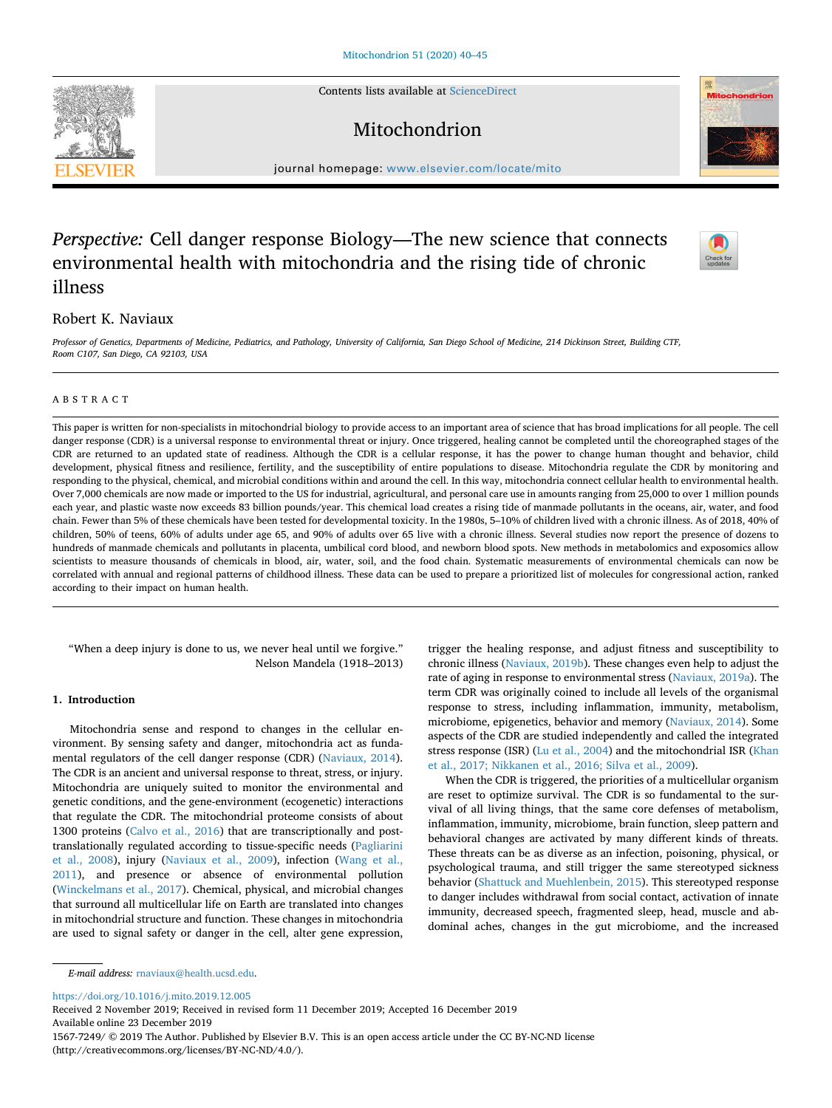Contents lists available at [ScienceDirect](http://www.sciencedirect.com/science/journal/15677249)

# Mitochondrion

journal homepage: [www.elsevier.com/locate/mito](https://www.elsevier.com/locate/mito)

# *Perspective:* Cell danger response Biology—The new science that connects environmental health with mitochondria and the rising tide of chronic illness

# Robert K. Naviaux

*Professor of Genetics, Departments of Medicine, Pediatrics, and Pathology, University of California, San Diego School of Medicine, 214 Dickinson Street, Building CTF, Room C107, San Diego, CA 92103, USA*

## ABSTRACT

This paper is written for non-specialists in mitochondrial biology to provide access to an important area of science that has broad implications for all people. The cell danger response (CDR) is a universal response to environmental threat or injury. Once triggered, healing cannot be completed until the choreographed stages of the CDR are returned to an updated state of readiness. Although the CDR is a cellular response, it has the power to change human thought and behavior, child development, physical fitness and resilience, fertility, and the susceptibility of entire populations to disease. Mitochondria regulate the CDR by monitoring and responding to the physical, chemical, and microbial conditions within and around the cell. In this way, mitochondria connect cellular health to environmental health. Over 7,000 chemicals are now made or imported to the US for industrial, agricultural, and personal care use in amounts ranging from 25,000 to over 1 million pounds each year, and plastic waste now exceeds 83 billion pounds/year. This chemical load creates a rising tide of manmade pollutants in the oceans, air, water, and food chain. Fewer than 5% of these chemicals have been tested for developmental toxicity. In the 1980s, 5–10% of children lived with a chronic illness. As of 2018, 40% of children, 50% of teens, 60% of adults under age 65, and 90% of adults over 65 live with a chronic illness. Several studies now report the presence of dozens to hundreds of manmade chemicals and pollutants in placenta, umbilical cord blood, and newborn blood spots. New methods in metabolomics and exposomics allow scientists to measure thousands of chemicals in blood, air, water, soil, and the food chain. Systematic measurements of environmental chemicals can now be correlated with annual and regional patterns of childhood illness. These data can be used to prepare a prioritized list of molecules for congressional action, ranked according to their impact on human health.

"When a deep injury is done to us, we never heal until we forgive." Nelson Mandela (1918–2013)

# **1. Introduction**

Mitochondria sense and respond to changes in the cellular environment. By sensing safety and danger, mitochondria act as fundamental regulators of the cell danger response (CDR) [\(Naviaux, 2014](#page-5-0)). The CDR is an ancient and universal response to threat, stress, or injury. Mitochondria are uniquely suited to monitor the environmental and genetic conditions, and the gene-environment (ecogenetic) interactions that regulate the CDR. The mitochondrial proteome consists of about 1300 proteins [\(Calvo et al., 2016](#page-4-0)) that are transcriptionally and posttranslationally regulated according to tissue-specific needs [\(Pagliarini](#page-5-1) [et al., 2008](#page-5-1)), injury ([Naviaux et al., 2009](#page-5-2)), infection ([Wang et al.,](#page-5-3) [2011\)](#page-5-3), and presence or absence of environmental pollution ([Winckelmans et al., 2017](#page-5-4)). Chemical, physical, and microbial changes that surround all multicellular life on Earth are translated into changes in mitochondrial structure and function. These changes in mitochondria are used to signal safety or danger in the cell, alter gene expression,

trigger the healing response, and adjust fitness and susceptibility to chronic illness [\(Naviaux, 2019b\)](#page-5-5). These changes even help to adjust the rate of aging in response to environmental stress ([Naviaux, 2019a](#page-5-6)). The term CDR was originally coined to include all levels of the organismal response to stress, including inflammation, immunity, metabolism, microbiome, epigenetics, behavior and memory ([Naviaux, 2014](#page-5-0)). Some aspects of the CDR are studied independently and called the integrated stress response (ISR) [\(Lu et al., 2004\)](#page-5-7) and the mitochondrial ISR [\(Khan](#page-5-8) [et al., 2017; Nikkanen et al., 2016; Silva et al., 2009\)](#page-5-8).

When the CDR is triggered, the priorities of a multicellular organism are reset to optimize survival. The CDR is so fundamental to the survival of all living things, that the same core defenses of metabolism, inflammation, immunity, microbiome, brain function, sleep pattern and behavioral changes are activated by many different kinds of threats. These threats can be as diverse as an infection, poisoning, physical, or psychological trauma, and still trigger the same stereotyped sickness behavior ([Shattuck and Muehlenbein, 2015](#page-5-9)). This stereotyped response to danger includes withdrawal from social contact, activation of innate immunity, decreased speech, fragmented sleep, head, muscle and abdominal aches, changes in the gut microbiome, and the increased

<https://doi.org/10.1016/j.mito.2019.12.005>

Received 2 November 2019; Received in revised form 11 December 2019; Accepted 16 December 2019 Available online 23 December 2019

1567-7249/ © 2019 The Author. Published by Elsevier B.V. This is an open access article under the CC BY-NC-ND license (http://creativecommons.org/licenses/BY-NC-ND/4.0/).







*E-mail address:* [rnaviaux@health.ucsd.edu](mailto:rnaviaux@health.ucsd.edu).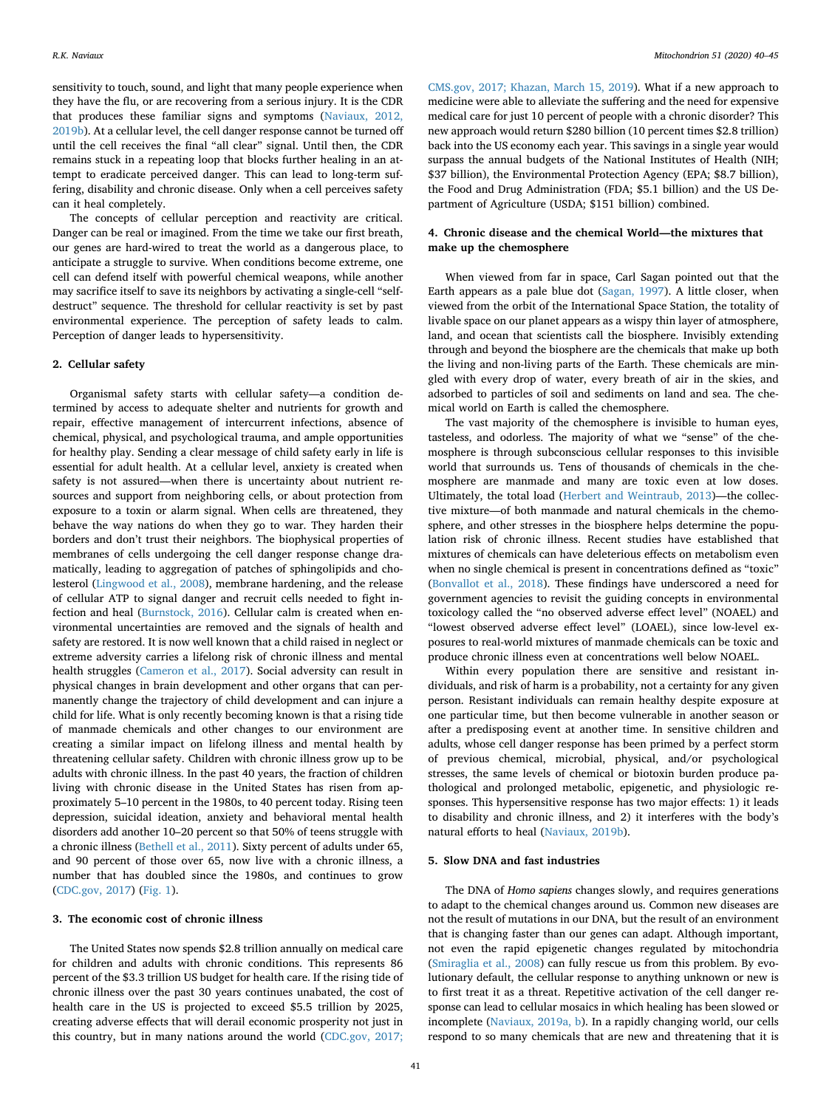sensitivity to touch, sound, and light that many people experience when they have the flu, or are recovering from a serious injury. It is the CDR that produces these familiar signs and symptoms [\(Naviaux, 2012,](#page-5-10) [2019b\)](#page-5-10). At a cellular level, the cell danger response cannot be turned off until the cell receives the final "all clear" signal. Until then, the CDR remains stuck in a repeating loop that blocks further healing in an attempt to eradicate perceived danger. This can lead to long-term suffering, disability and chronic disease. Only when a cell perceives safety can it heal completely.

The concepts of cellular perception and reactivity are critical. Danger can be real or imagined. From the time we take our first breath, our genes are hard-wired to treat the world as a dangerous place, to anticipate a struggle to survive. When conditions become extreme, one cell can defend itself with powerful chemical weapons, while another may sacrifice itself to save its neighbors by activating a single-cell "selfdestruct" sequence. The threshold for cellular reactivity is set by past environmental experience. The perception of safety leads to calm. Perception of danger leads to hypersensitivity.

#### **2. Cellular safety**

Organismal safety starts with cellular safety—a condition determined by access to adequate shelter and nutrients for growth and repair, effective management of intercurrent infections, absence of chemical, physical, and psychological trauma, and ample opportunities for healthy play. Sending a clear message of child safety early in life is essential for adult health. At a cellular level, anxiety is created when safety is not assured—when there is uncertainty about nutrient resources and support from neighboring cells, or about protection from exposure to a toxin or alarm signal. When cells are threatened, they behave the way nations do when they go to war. They harden their borders and don't trust their neighbors. The biophysical properties of membranes of cells undergoing the cell danger response change dramatically, leading to aggregation of patches of sphingolipids and cholesterol ([Lingwood et al., 2008\)](#page-5-11), membrane hardening, and the release of cellular ATP to signal danger and recruit cells needed to fight infection and heal [\(Burnstock, 2016\)](#page-4-1). Cellular calm is created when environmental uncertainties are removed and the signals of health and safety are restored. It is now well known that a child raised in neglect or extreme adversity carries a lifelong risk of chronic illness and mental health struggles [\(Cameron et al., 2017](#page-4-2)). Social adversity can result in physical changes in brain development and other organs that can permanently change the trajectory of child development and can injure a child for life. What is only recently becoming known is that a rising tide of manmade chemicals and other changes to our environment are creating a similar impact on lifelong illness and mental health by threatening cellular safety. Children with chronic illness grow up to be adults with chronic illness. In the past 40 years, the fraction of children living with chronic disease in the United States has risen from approximately 5–10 percent in the 1980s, to 40 percent today. Rising teen depression, suicidal ideation, anxiety and behavioral mental health disorders add another 10–20 percent so that 50% of teens struggle with a chronic illness ([Bethell et al., 2011](#page-4-3)). Sixty percent of adults under 65, and 90 percent of those over 65, now live with a chronic illness, a number that has doubled since the 1980s, and continues to grow ([CDC.gov, 2017\)](#page-5-12) ([Fig. 1\)](#page-2-0).

## **3. The economic cost of chronic illness**

The United States now spends \$2.8 trillion annually on medical care for children and adults with chronic conditions. This represents 86 percent of the \$3.3 trillion US budget for health care. If the rising tide of chronic illness over the past 30 years continues unabated, the cost of health care in the US is projected to exceed \$5.5 trillion by 2025, creating adverse effects that will derail economic prosperity not just in this country, but in many nations around the world ([CDC.gov, 2017;](#page-5-12)

[CMS.gov, 2017; Khazan, March 15, 2019\)](#page-5-12). What if a new approach to medicine were able to alleviate the suffering and the need for expensive medical care for just 10 percent of people with a chronic disorder? This new approach would return \$280 billion (10 percent times \$2.8 trillion) back into the US economy each year. This savings in a single year would surpass the annual budgets of the National Institutes of Health (NIH; \$37 billion), the Environmental Protection Agency (EPA; \$8.7 billion), the Food and Drug Administration (FDA; \$5.1 billion) and the US Department of Agriculture (USDA; \$151 billion) combined.

## **4. Chronic disease and the chemical World—the mixtures that make up the chemosphere**

When viewed from far in space, Carl Sagan pointed out that the Earth appears as a pale blue dot [\(Sagan, 1997\)](#page-5-13). A little closer, when viewed from the orbit of the International Space Station, the totality of livable space on our planet appears as a wispy thin layer of atmosphere, land, and ocean that scientists call the biosphere. Invisibly extending through and beyond the biosphere are the chemicals that make up both the living and non-living parts of the Earth. These chemicals are mingled with every drop of water, every breath of air in the skies, and adsorbed to particles of soil and sediments on land and sea. The chemical world on Earth is called the chemosphere.

The vast majority of the chemosphere is invisible to human eyes, tasteless, and odorless. The majority of what we "sense" of the chemosphere is through subconscious cellular responses to this invisible world that surrounds us. Tens of thousands of chemicals in the chemosphere are manmade and many are toxic even at low doses. Ultimately, the total load [\(Herbert and Weintraub, 2013\)](#page-5-14)—the collective mixture—of both manmade and natural chemicals in the chemosphere, and other stresses in the biosphere helps determine the population risk of chronic illness. Recent studies have established that mixtures of chemicals can have deleterious effects on metabolism even when no single chemical is present in concentrations defined as "toxic" ([Bonvallot et al., 2018\)](#page-4-4). These findings have underscored a need for government agencies to revisit the guiding concepts in environmental toxicology called the "no observed adverse effect level" (NOAEL) and "lowest observed adverse effect level" (LOAEL), since low-level exposures to real-world mixtures of manmade chemicals can be toxic and produce chronic illness even at concentrations well below NOAEL.

Within every population there are sensitive and resistant individuals, and risk of harm is a probability, not a certainty for any given person. Resistant individuals can remain healthy despite exposure at one particular time, but then become vulnerable in another season or after a predisposing event at another time. In sensitive children and adults, whose cell danger response has been primed by a perfect storm of previous chemical, microbial, physical, and/or psychological stresses, the same levels of chemical or biotoxin burden produce pathological and prolonged metabolic, epigenetic, and physiologic responses. This hypersensitive response has two major effects: 1) it leads to disability and chronic illness, and 2) it interferes with the body's natural efforts to heal ([Naviaux, 2019b](#page-5-5)).

## **5. Slow DNA and fast industries**

The DNA of *Homo sapiens* changes slowly, and requires generations to adapt to the chemical changes around us. Common new diseases are not the result of mutations in our DNA, but the result of an environment that is changing faster than our genes can adapt. Although important, not even the rapid epigenetic changes regulated by mitochondria ([Smiraglia et al., 2008\)](#page-5-15) can fully rescue us from this problem. By evolutionary default, the cellular response to anything unknown or new is to first treat it as a threat. Repetitive activation of the cell danger response can lead to cellular mosaics in which healing has been slowed or incomplete [\(Naviaux, 2019a, b](#page-5-6)). In a rapidly changing world, our cells respond to so many chemicals that are new and threatening that it is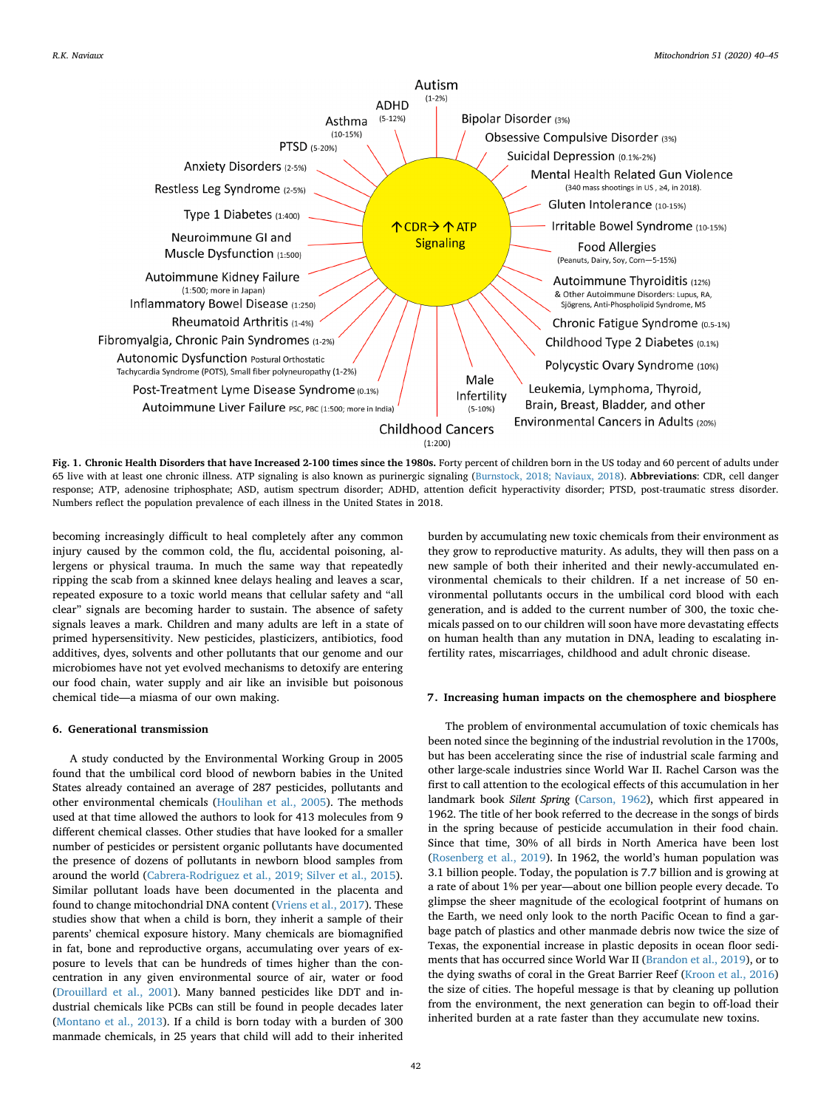<span id="page-2-0"></span>

**Fig. 1. Chronic Health Disorders that have Increased 2-100 times since the 1980s.** Forty percent of children born in the US today and 60 percent of adults under 65 live with at least one chronic illness. ATP signaling is also known as purinergic signaling ([Burnstock, 2018; Naviaux, 2018](#page-4-7)). **Abbreviations**: CDR, cell danger response; ATP, adenosine triphosphate; ASD, autism spectrum disorder; ADHD, attention deficit hyperactivity disorder; PTSD, post-traumatic stress disorder. Numbers reflect the population prevalence of each illness in the United States in 2018.

becoming increasingly difficult to heal completely after any common injury caused by the common cold, the flu, accidental poisoning, allergens or physical trauma. In much the same way that repeatedly ripping the scab from a skinned knee delays healing and leaves a scar, repeated exposure to a toxic world means that cellular safety and "all clear" signals are becoming harder to sustain. The absence of safety signals leaves a mark. Children and many adults are left in a state of primed hypersensitivity. New pesticides, plasticizers, antibiotics, food additives, dyes, solvents and other pollutants that our genome and our microbiomes have not yet evolved mechanisms to detoxify are entering our food chain, water supply and air like an invisible but poisonous chemical tide—a miasma of our own making.

## **6. Generational transmission**

A study conducted by the Environmental Working Group in 2005 found that the umbilical cord blood of newborn babies in the United States already contained an average of 287 pesticides, pollutants and other environmental chemicals [\(Houlihan et al., 2005\)](#page-5-16). The methods used at that time allowed the authors to look for 413 molecules from 9 different chemical classes. Other studies that have looked for a smaller number of pesticides or persistent organic pollutants have documented the presence of dozens of pollutants in newborn blood samples from around the world [\(Cabrera-Rodriguez et al., 2019; Silver et al., 2015](#page-4-5)). Similar pollutant loads have been documented in the placenta and found to change mitochondrial DNA content ([Vriens et al., 2017](#page-5-17)). These studies show that when a child is born, they inherit a sample of their parents' chemical exposure history. Many chemicals are biomagnified in fat, bone and reproductive organs, accumulating over years of exposure to levels that can be hundreds of times higher than the concentration in any given environmental source of air, water or food ([Drouillard et al., 2001](#page-5-18)). Many banned pesticides like DDT and industrial chemicals like PCBs can still be found in people decades later ([Montano et al., 2013\)](#page-5-19). If a child is born today with a burden of 300 manmade chemicals, in 25 years that child will add to their inherited

burden by accumulating new toxic chemicals from their environment as they grow to reproductive maturity. As adults, they will then pass on a new sample of both their inherited and their newly-accumulated environmental chemicals to their children. If a net increase of 50 environmental pollutants occurs in the umbilical cord blood with each generation, and is added to the current number of 300, the toxic chemicals passed on to our children will soon have more devastating effects on human health than any mutation in DNA, leading to escalating infertility rates, miscarriages, childhood and adult chronic disease.

## **7. Increasing human impacts on the chemosphere and biosphere**

The problem of environmental accumulation of toxic chemicals has been noted since the beginning of the industrial revolution in the 1700s, but has been accelerating since the rise of industrial scale farming and other large-scale industries since World War II. Rachel Carson was the first to call attention to the ecological effects of this accumulation in her landmark book *Silent Spring* ([Carson, 1962\)](#page-5-20), which first appeared in 1962. The title of her book referred to the decrease in the songs of birds in the spring because of pesticide accumulation in their food chain. Since that time, 30% of all birds in North America have been lost ([Rosenberg et al., 2019\)](#page-5-21). In 1962, the world's human population was 3.1 billion people. Today, the population is 7.7 billion and is growing at a rate of about 1% per year—about one billion people every decade. To glimpse the sheer magnitude of the ecological footprint of humans on the Earth, we need only look to the north Pacific Ocean to find a garbage patch of plastics and other manmade debris now twice the size of Texas, the exponential increase in plastic deposits in ocean floor sediments that has occurred since World War II ([Brandon et al., 2019\)](#page-4-6), or to the dying swaths of coral in the Great Barrier Reef ([Kroon et al., 2016\)](#page-5-22) the size of cities. The hopeful message is that by cleaning up pollution from the environment, the next generation can begin to off-load their inherited burden at a rate faster than they accumulate new toxins.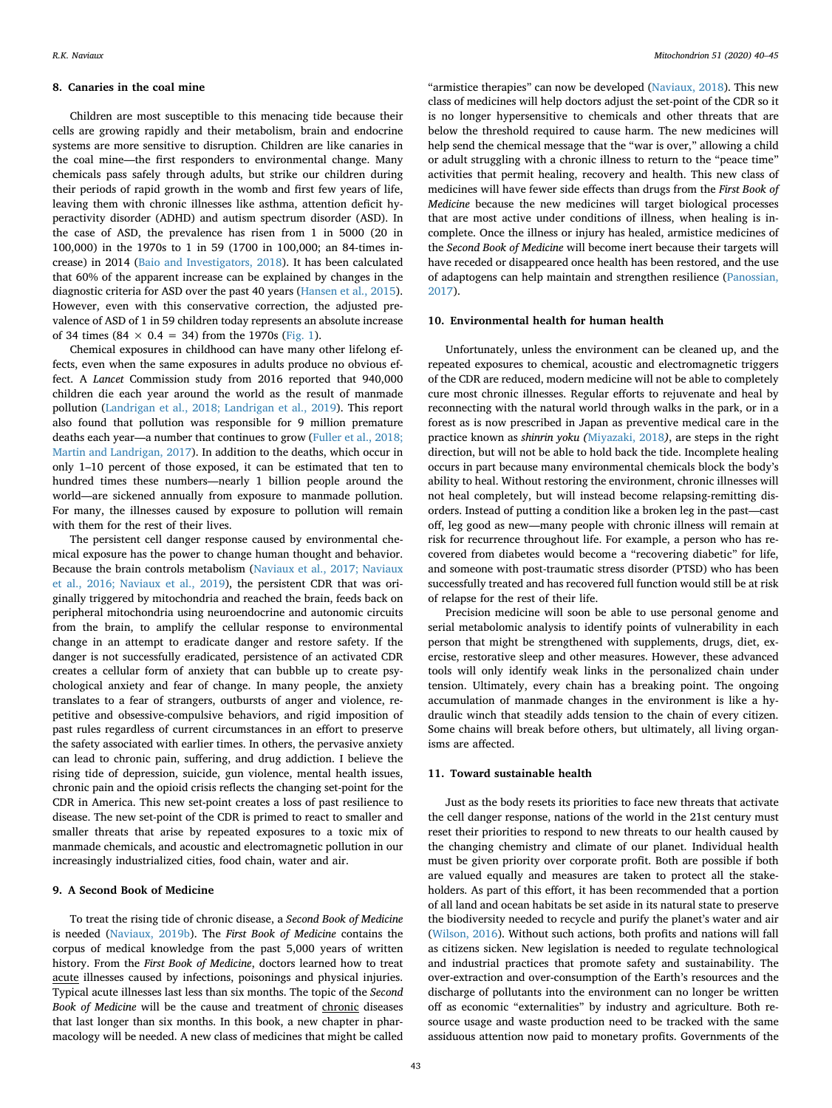#### **8. Canaries in the coal mine**

Children are most susceptible to this menacing tide because their cells are growing rapidly and their metabolism, brain and endocrine systems are more sensitive to disruption. Children are like canaries in the coal mine—the first responders to environmental change. Many chemicals pass safely through adults, but strike our children during their periods of rapid growth in the womb and first few years of life, leaving them with chronic illnesses like asthma, attention deficit hyperactivity disorder (ADHD) and autism spectrum disorder (ASD). In the case of ASD, the prevalence has risen from 1 in 5000 (20 in 100,000) in the 1970s to 1 in 59 (1700 in 100,000; an 84-times increase) in 2014 [\(Baio and Investigators, 2018\)](#page-4-8). It has been calculated that 60% of the apparent increase can be explained by changes in the diagnostic criteria for ASD over the past 40 years [\(Hansen et al., 2015](#page-5-23)). However, even with this conservative correction, the adjusted prevalence of ASD of 1 in 59 children today represents an absolute increase of 34 times (84  $\times$  0.4 = 34) from the 1970s ([Fig. 1](#page-2-0)).

Chemical exposures in childhood can have many other lifelong effects, even when the same exposures in adults produce no obvious effect. A *Lancet* Commission study from 2016 reported that 940,000 children die each year around the world as the result of manmade pollution ([Landrigan et al., 2018; Landrigan et al., 2019\)](#page-5-24). This report also found that pollution was responsible for 9 million premature deaths each year—a number that continues to grow [\(Fuller et al., 2018;](#page-5-25) [Martin and Landrigan, 2017](#page-5-25)). In addition to the deaths, which occur in only 1–10 percent of those exposed, it can be estimated that ten to hundred times these numbers—nearly 1 billion people around the world—are sickened annually from exposure to manmade pollution. For many, the illnesses caused by exposure to pollution will remain with them for the rest of their lives.

The persistent cell danger response caused by environmental chemical exposure has the power to change human thought and behavior. Because the brain controls metabolism ([Naviaux et al., 2017; Naviaux](#page-5-26) [et al., 2016; Naviaux et al., 2019](#page-5-26)), the persistent CDR that was originally triggered by mitochondria and reached the brain, feeds back on peripheral mitochondria using neuroendocrine and autonomic circuits from the brain, to amplify the cellular response to environmental change in an attempt to eradicate danger and restore safety. If the danger is not successfully eradicated, persistence of an activated CDR creates a cellular form of anxiety that can bubble up to create psychological anxiety and fear of change. In many people, the anxiety translates to a fear of strangers, outbursts of anger and violence, repetitive and obsessive-compulsive behaviors, and rigid imposition of past rules regardless of current circumstances in an effort to preserve the safety associated with earlier times. In others, the pervasive anxiety can lead to chronic pain, suffering, and drug addiction. I believe the rising tide of depression, suicide, gun violence, mental health issues, chronic pain and the opioid crisis reflects the changing set-point for the CDR in America. This new set-point creates a loss of past resilience to disease. The new set-point of the CDR is primed to react to smaller and smaller threats that arise by repeated exposures to a toxic mix of manmade chemicals, and acoustic and electromagnetic pollution in our increasingly industrialized cities, food chain, water and air.

#### **9. A Second Book of Medicine**

To treat the rising tide of chronic disease, a *Second Book of Medicine* is needed ([Naviaux, 2019b](#page-5-5)). The *First Book of Medicine* contains the corpus of medical knowledge from the past 5,000 years of written history. From the *First Book of Medicine*, doctors learned how to treat acute illnesses caused by infections, poisonings and physical injuries. Typical acute illnesses last less than six months. The topic of the *Second Book of Medicine* will be the cause and treatment of chronic diseases that last longer than six months. In this book, a new chapter in pharmacology will be needed. A new class of medicines that might be called

"armistice therapies" can now be developed ([Naviaux, 2018](#page-5-27)). This new class of medicines will help doctors adjust the set-point of the CDR so it is no longer hypersensitive to chemicals and other threats that are below the threshold required to cause harm. The new medicines will help send the chemical message that the "war is over," allowing a child or adult struggling with a chronic illness to return to the "peace time" activities that permit healing, recovery and health. This new class of medicines will have fewer side effects than drugs from the *First Book of Medicine* because the new medicines will target biological processes that are most active under conditions of illness, when healing is incomplete. Once the illness or injury has healed, armistice medicines of the *Second Book of Medicine* will become inert because their targets will have receded or disappeared once health has been restored, and the use of adaptogens can help maintain and strengthen resilience ([Panossian,](#page-5-28) [2017\)](#page-5-28).

## **10. Environmental health for human health**

Unfortunately, unless the environment can be cleaned up, and the repeated exposures to chemical, acoustic and electromagnetic triggers of the CDR are reduced, modern medicine will not be able to completely cure most chronic illnesses. Regular efforts to rejuvenate and heal by reconnecting with the natural world through walks in the park, or in a forest as is now prescribed in Japan as preventive medical care in the practice known as *shinrin yoku (*[Miyazaki, 2018](#page-5-29)*)*, are steps in the right direction, but will not be able to hold back the tide. Incomplete healing occurs in part because many environmental chemicals block the body's ability to heal. Without restoring the environment, chronic illnesses will not heal completely, but will instead become relapsing-remitting disorders. Instead of putting a condition like a broken leg in the past—cast off, leg good as new—many people with chronic illness will remain at risk for recurrence throughout life. For example, a person who has recovered from diabetes would become a "recovering diabetic" for life, and someone with post-traumatic stress disorder (PTSD) who has been successfully treated and has recovered full function would still be at risk of relapse for the rest of their life.

Precision medicine will soon be able to use personal genome and serial metabolomic analysis to identify points of vulnerability in each person that might be strengthened with supplements, drugs, diet, exercise, restorative sleep and other measures. However, these advanced tools will only identify weak links in the personalized chain under tension. Ultimately, every chain has a breaking point. The ongoing accumulation of manmade changes in the environment is like a hydraulic winch that steadily adds tension to the chain of every citizen. Some chains will break before others, but ultimately, all living organisms are affected.

## **11. Toward sustainable health**

Just as the body resets its priorities to face new threats that activate the cell danger response, nations of the world in the 21st century must reset their priorities to respond to new threats to our health caused by the changing chemistry and climate of our planet. Individual health must be given priority over corporate profit. Both are possible if both are valued equally and measures are taken to protect all the stakeholders. As part of this effort, it has been recommended that a portion of all land and ocean habitats be set aside in its natural state to preserve the biodiversity needed to recycle and purify the planet's water and air ([Wilson, 2016](#page-5-30)). Without such actions, both profits and nations will fall as citizens sicken. New legislation is needed to regulate technological and industrial practices that promote safety and sustainability. The over-extraction and over-consumption of the Earth's resources and the discharge of pollutants into the environment can no longer be written off as economic "externalities" by industry and agriculture. Both resource usage and waste production need to be tracked with the same assiduous attention now paid to monetary profits. Governments of the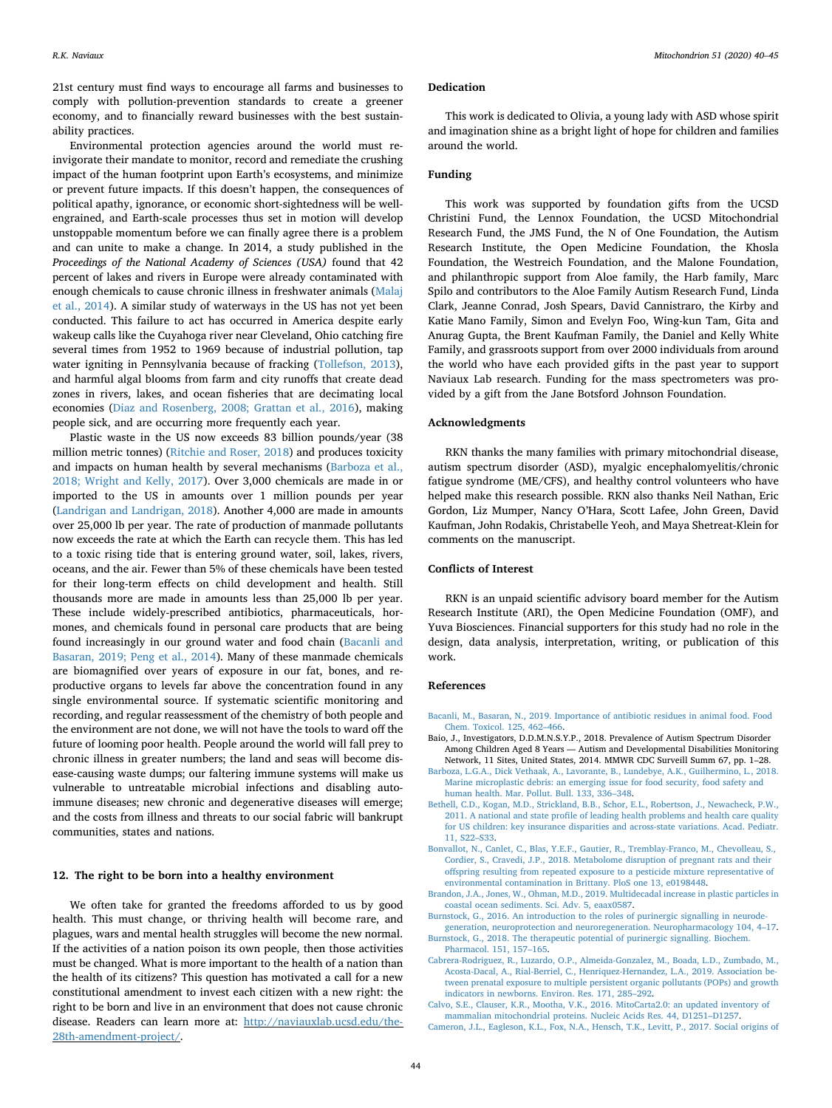21st century must find ways to encourage all farms and businesses to comply with pollution-prevention standards to create a greener economy, and to financially reward businesses with the best sustainability practices.

Environmental protection agencies around the world must reinvigorate their mandate to monitor, record and remediate the crushing impact of the human footprint upon Earth's ecosystems, and minimize or prevent future impacts. If this doesn't happen, the consequences of political apathy, ignorance, or economic short-sightedness will be wellengrained, and Earth-scale processes thus set in motion will develop unstoppable momentum before we can finally agree there is a problem and can unite to make a change. In 2014, a study published in the *Proceedings of the National Academy of Sciences (USA)* found that 42 percent of lakes and rivers in Europe were already contaminated with enough chemicals to cause chronic illness in freshwater animals ([Malaj](#page-5-31) [et al., 2014](#page-5-31)). A similar study of waterways in the US has not yet been conducted. This failure to act has occurred in America despite early wakeup calls like the Cuyahoga river near Cleveland, Ohio catching fire several times from 1952 to 1969 because of industrial pollution, tap water igniting in Pennsylvania because of fracking ([Tollefson, 2013](#page-5-32)), and harmful algal blooms from farm and city runoffs that create dead zones in rivers, lakes, and ocean fisheries that are decimating local economies ([Diaz and Rosenberg, 2008; Grattan et al., 2016\)](#page-5-33), making people sick, and are occurring more frequently each year.

Plastic waste in the US now exceeds 83 billion pounds/year (38 million metric tonnes) ([Ritchie and Roser, 2018](#page-5-34)) and produces toxicity and impacts on human health by several mechanisms ([Barboza et al.,](#page-4-9) [2018; Wright and Kelly, 2017\)](#page-4-9). Over 3,000 chemicals are made in or imported to the US in amounts over 1 million pounds per year ([Landrigan and Landrigan, 2018\)](#page-5-35). Another 4,000 are made in amounts over 25,000 lb per year. The rate of production of manmade pollutants now exceeds the rate at which the Earth can recycle them. This has led to a toxic rising tide that is entering ground water, soil, lakes, rivers, oceans, and the air. Fewer than 5% of these chemicals have been tested for their long-term effects on child development and health. Still thousands more are made in amounts less than 25,000 lb per year. These include widely-prescribed antibiotics, pharmaceuticals, hormones, and chemicals found in personal care products that are being found increasingly in our ground water and food chain [\(Bacanli and](#page-4-10) [Basaran, 2019; Peng et al., 2014\)](#page-4-10). Many of these manmade chemicals are biomagnified over years of exposure in our fat, bones, and reproductive organs to levels far above the concentration found in any single environmental source. If systematic scientific monitoring and recording, and regular reassessment of the chemistry of both people and the environment are not done, we will not have the tools to ward off the future of looming poor health. People around the world will fall prey to chronic illness in greater numbers; the land and seas will become disease-causing waste dumps; our faltering immune systems will make us vulnerable to untreatable microbial infections and disabling autoimmune diseases; new chronic and degenerative diseases will emerge; and the costs from illness and threats to our social fabric will bankrupt communities, states and nations.

# **12. The right to be born into a healthy environment**

We often take for granted the freedoms afforded to us by good health. This must change, or thriving health will become rare, and plagues, wars and mental health struggles will become the new normal. If the activities of a nation poison its own people, then those activities must be changed. What is more important to the health of a nation than the health of its citizens? This question has motivated a call for a new constitutional amendment to invest each citizen with a new right: the right to be born and live in an environment that does not cause chronic disease. Readers can learn more at: [http://naviauxlab.ucsd.edu/the-](http://naviauxlab.ucsd.edu/the-28th-amendment-project/)[28th-amendment-project/](http://naviauxlab.ucsd.edu/the-28th-amendment-project/).

#### **Dedication**

This work is dedicated to Olivia, a young lady with ASD whose spirit and imagination shine as a bright light of hope for children and families around the world.

### **Funding**

This work was supported by foundation gifts from the UCSD Christini Fund, the Lennox Foundation, the UCSD Mitochondrial Research Fund, the JMS Fund, the N of One Foundation, the Autism Research Institute, the Open Medicine Foundation, the Khosla Foundation, the Westreich Foundation, and the Malone Foundation, and philanthropic support from Aloe family, the Harb family, Marc Spilo and contributors to the Aloe Family Autism Research Fund, Linda Clark, Jeanne Conrad, Josh Spears, David Cannistraro, the Kirby and Katie Mano Family, Simon and Evelyn Foo, Wing-kun Tam, Gita and Anurag Gupta, the Brent Kaufman Family, the Daniel and Kelly White Family, and grassroots support from over 2000 individuals from around the world who have each provided gifts in the past year to support Naviaux Lab research. Funding for the mass spectrometers was provided by a gift from the Jane Botsford Johnson Foundation.

## **Acknowledgments**

RKN thanks the many families with primary mitochondrial disease, autism spectrum disorder (ASD), myalgic encephalomyelitis/chronic fatigue syndrome (ME/CFS), and healthy control volunteers who have helped make this research possible. RKN also thanks Neil Nathan, Eric Gordon, Liz Mumper, Nancy O'Hara, Scott Lafee, John Green, David Kaufman, John Rodakis, Christabelle Yeoh, and Maya Shetreat-Klein for comments on the manuscript.

## **Conflicts of Interest**

RKN is an unpaid scientific advisory board member for the Autism Research Institute (ARI), the Open Medicine Foundation (OMF), and Yuva Biosciences. Financial supporters for this study had no role in the design, data analysis, interpretation, writing, or publication of this work.

#### **References**

- <span id="page-4-10"></span>[Bacanli, M., Basaran, N., 2019. Importance of antibiotic residues in animal food. Food](http://refhub.elsevier.com/S1567-7249(19)30292-2/h0005) [Chem. Toxicol. 125, 462–466.](http://refhub.elsevier.com/S1567-7249(19)30292-2/h0005)
- <span id="page-4-8"></span>Baio, J., Investigators, D.D.M.N.S.Y.P., 2018. Prevalence of Autism Spectrum Disorder Among Children Aged 8 Years — Autism and Developmental Disabilities Monitoring Network, 11 Sites, United States, 2014. MMWR CDC Surveill Summ 67, pp. 1–28.
- <span id="page-4-9"></span>[Barboza, L.G.A., Dick Vethaak, A., Lavorante, B., Lundebye, A.K., Guilhermino, L., 2018.](http://refhub.elsevier.com/S1567-7249(19)30292-2/h0015) [Marine microplastic debris: an emerging issue for food security, food safety and](http://refhub.elsevier.com/S1567-7249(19)30292-2/h0015) [human health. Mar. Pollut. Bull. 133, 336–348](http://refhub.elsevier.com/S1567-7249(19)30292-2/h0015).
- <span id="page-4-3"></span>[Bethell, C.D., Kogan, M.D., Strickland, B.B., Schor, E.L., Robertson, J., Newacheck, P.W.,](http://refhub.elsevier.com/S1567-7249(19)30292-2/h0020) [2011. A national and state profile of leading health problems and health care quality](http://refhub.elsevier.com/S1567-7249(19)30292-2/h0020) [for US children: key insurance disparities and across-state variations. Acad. Pediatr.](http://refhub.elsevier.com/S1567-7249(19)30292-2/h0020) [11, S22–S33.](http://refhub.elsevier.com/S1567-7249(19)30292-2/h0020)
- <span id="page-4-4"></span>[Bonvallot, N., Canlet, C., Blas, Y.E.F., Gautier, R., Tremblay-Franco, M., Chevolleau, S.,](http://refhub.elsevier.com/S1567-7249(19)30292-2/h0025) [Cordier, S., Cravedi, J.P., 2018. Metabolome disruption of pregnant rats and their](http://refhub.elsevier.com/S1567-7249(19)30292-2/h0025) [offspring resulting from repeated exposure to a pesticide mixture representative of](http://refhub.elsevier.com/S1567-7249(19)30292-2/h0025) [environmental contamination in Brittany. PloS one 13, e0198448](http://refhub.elsevier.com/S1567-7249(19)30292-2/h0025).
- <span id="page-4-6"></span>[Brandon, J.A., Jones, W., Ohman, M.D., 2019. Multidecadal increase in plastic particles in](http://refhub.elsevier.com/S1567-7249(19)30292-2/h0030) [coastal ocean sediments. Sci. Adv. 5, eaax0587.](http://refhub.elsevier.com/S1567-7249(19)30292-2/h0030)
- <span id="page-4-1"></span>[Burnstock, G., 2016. An introduction to the roles of purinergic signalling in neurode-](http://refhub.elsevier.com/S1567-7249(19)30292-2/h0035)
- <span id="page-4-7"></span>[generation, neuroprotection and neuroregeneration. Neuropharmacology 104, 4–17.](http://refhub.elsevier.com/S1567-7249(19)30292-2/h0035) [Burnstock, G., 2018. The therapeutic potential of purinergic signalling. Biochem.](http://refhub.elsevier.com/S1567-7249(19)30292-2/h0040) [Pharmacol. 151, 157–165.](http://refhub.elsevier.com/S1567-7249(19)30292-2/h0040)
- <span id="page-4-5"></span>[Cabrera-Rodriguez, R., Luzardo, O.P., Almeida-Gonzalez, M., Boada, L.D., Zumbado, M.,](http://refhub.elsevier.com/S1567-7249(19)30292-2/h0045) [Acosta-Dacal, A., Rial-Berriel, C., Henriquez-Hernandez, L.A., 2019. Association be](http://refhub.elsevier.com/S1567-7249(19)30292-2/h0045)[tween prenatal exposure to multiple persistent organic pollutants \(POPs\) and growth](http://refhub.elsevier.com/S1567-7249(19)30292-2/h0045) [indicators in newborns. Environ. Res. 171, 285–292.](http://refhub.elsevier.com/S1567-7249(19)30292-2/h0045)
- <span id="page-4-0"></span>[Calvo, S.E., Clauser, K.R., Mootha, V.K., 2016. MitoCarta2.0: an updated inventory of](http://refhub.elsevier.com/S1567-7249(19)30292-2/h0050) [mammalian mitochondrial proteins. Nucleic Acids Res. 44, D1251–D1257](http://refhub.elsevier.com/S1567-7249(19)30292-2/h0050).
- <span id="page-4-2"></span>[Cameron, J.L., Eagleson, K.L., Fox, N.A., Hensch, T.K., Levitt, P., 2017. Social origins of](http://refhub.elsevier.com/S1567-7249(19)30292-2/h0055)